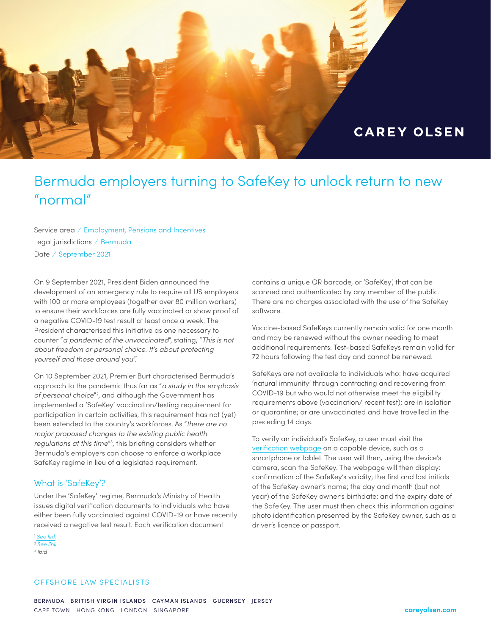

# Bermuda employers turning to SafeKey to unlock return to new "normal"

Service area ⁄ Employment, Pensions and Incentives Legal jurisdictions ⁄ Bermuda Date ⁄ September 2021

On 9 September 2021, President Biden announced the development of an emergency rule to require all US employers with 100 or more employees (together over 80 million workers) to ensure their workforces are fully vaccinated or show proof of a negative COVID-19 test result at least once a week. The President characterised this initiative as one necessary to counter "*a pandemic of the unvaccinated*", stating, "*This is not about freedom or personal choice. It's about protecting yourself and those around you*".1

On 10 September 2021, Premier Burt characterised Bermuda's approach to the pandemic thus far as "*a study in the emphasis of personal choice*"2 , and although the Government has implemented a 'SafeKey' vaccination/testing requirement for participation in certain activities, this requirement has not (yet) been extended to the country's workforces. As "*there are no major proposed changes to the existing public health regulations at this time*"3 , this briefing considers whether Bermuda's employers can choose to enforce a workplace SafeKey regime in lieu of a legislated requirement.

### What is 'SafeKey'?

Under the 'SafeKey' regime, Bermuda's Ministry of Health issues digital verification documents to individuals who have either been fully vaccinated against COVID-19 or have recently received a negative test result. Each verification document

*<sup>1</sup> [See link](https://www.whitehouse.gov/briefing-room/speeches-remarks/2021/09/09/remarks-by-president-biden-on-fighting-the-covid-19-pandemic-3/) <sup>2</sup> [See link](http://parliament.bm/admin/uploads/ministerials/41f36dd4c3c84dbca67a2c94f27ffb78.pdf) 3 Ibid*

contains a unique QR barcode, or 'SafeKey', that can be scanned and authenticated by any member of the public. There are no charges associated with the use of the SafeKey software.

Vaccine-based SafeKeys currently remain valid for one month and may be renewed without the owner needing to meet additional requirements. Test-based SafeKeys remain valid for 72 hours following the test day and cannot be renewed.

SafeKeys are not available to individuals who: have acquired 'natural immunity' through contracting and recovering from COVID-19 but who would not otherwise meet the eligibility requirements above (vaccination/ recent test); are in isolation or quarantine; or are unvaccinated and have travelled in the preceding 14 days.

To verify an individual's SafeKey, a user must visit the [verification webpage](https://verify.gov.bm/) on a capable device, such as a smartphone or tablet. The user will then, using the device's camera, scan the SafeKey. The webpage will then display: confirmation of the SafeKey's validity; the first and last initials of the SafeKey owner's name; the day and month (but not year) of the SafeKey owner's birthdate; and the expiry date of the SafeKey. The user must then check this information against photo identification presented by the SafeKey owner, such as a driver's licence or passport.

## OFFSHORE LAW SPECIALISTS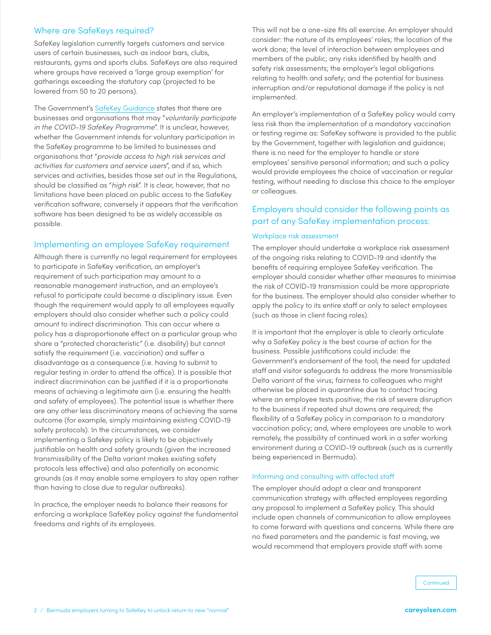# Where are SafeKeys required?

SafeKey legislation currently targets customers and service users of certain businesses, such as indoor bars, clubs, restaurants, gyms and sports clubs. SafeKeys are also required where groups have received a 'large group exemption' for gatherings exceeding the statutory cap (projected to be lowered from 50 to 20 persons).

The Government's [SafeKey Guidance](https://www.gov.bm/safekey) states that there are businesses and organisations that may "*voluntarily participate in the COVID-19 SafeKey Programme*". It is unclear, however, whether the Government intends for voluntary participation in the SafeKey programme to be limited to businesses and organisations that "*provide access to high risk services and activities for customers and service users*", and if so, which services and activities, besides those set out in the Regulations, should be classified as "*high risk*". It is clear, however, that no limitations have been placed on public access to the SafeKey verification software; conversely it appears that the verification software has been designed to be as widely accessible as possible.

# Implementing an employee SafeKey requirement

Although there is currently no legal requirement for employees to participate in SafeKey verification, an employer's requirement of such participation may amount to a reasonable management instruction, and an employee's refusal to participate could become a disciplinary issue. Even though the requirement would apply to all employees equally employers should also consider whether such a policy could amount to indirect discrimination. This can occur where a policy has a disproportionate effect on a particular group who share a "protected characteristic" (i.e. disability) but cannot satisfy the requirement (i.e. vaccination) and suffer a disadvantage as a consequence (i.e. having to submit to regular testing in order to attend the office). It is possible that indirect discrimination can be justified if it is a proportionate means of achieving a legitimate aim (i.e. ensuring the health and safety of employees). The potential issue is whether there are any other less discriminatory means of achieving the same outcome (for example, simply maintaining existing COVID-19 safety protocols). In the circumstances, we consider implementing a Safekey policy is likely to be objectively justifiable on health and safety grounds (given the increased transmissibility of the Delta variant makes existing safety protocols less effective) and also potentially on economic grounds (as it may enable some employers to stay open rather than having to close due to regular outbreaks).

In practice, the employer needs to balance their reasons for enforcing a workplace SafeKey policy against the fundamental freedoms and rights of its employees.

This will not be a one-size fits all exercise. An employer should consider: the nature of its employees' roles; the location of the work done; the level of interaction between employees and members of the public; any risks identified by health and safety risk assessments; the employer's legal obligations relating to health and safety; and the potential for business interruption and/or reputational damage if the policy is not implemented.

An employer's implementation of a SafeKey policy would carry less risk than the implementation of a mandatory vaccination or testing regime as: SafeKey software is provided to the public by the Government, together with legislation and guidance; there is no need for the employer to handle or store employees' sensitive personal information; and such a policy would provide employees the choice of vaccination or regular testing, without needing to disclose this choice to the employer or colleagues.

# Employers should consider the following points as part of any SafeKey implementation process:

### Workplace risk assessment

The employer should undertake a workplace risk assessment of the ongoing risks relating to COVID-19 and identify the benefits of requiring employee SafeKey verification. The employer should consider whether other measures to minimise the risk of COVID-19 transmission could be more appropriate for the business. The employer should also consider whether to apply the policy to its entire staff or only to select employees (such as those in client facing roles).

It is important that the employer is able to clearly articulate why a SafeKey policy is the best course of action for the business. Possible justifications could include: the Government's endorsement of the tool; the need for updated staff and visitor safeguards to address the more transmissible Delta variant of the virus; fairness to colleagues who might otherwise be placed in quarantine due to contact tracing where an employee tests positive; the risk of severe disruption to the business if repeated shut downs are required; the flexibility of a SafeKey policy in comparison to a mandatory vaccination policy; and, where employees are unable to work remotely, the possibility of continued work in a safer working environment during a COVID-19 outbreak (such as is currently being experienced in Bermuda).

### Informing and consulting with affected staff

The employer should adopt a clear and transparent communication strategy with affected employees regarding any proposal to implement a SafeKey policy. This should include open channels of communication to allow employees to come forward with questions and concerns. While there are no fixed parameters and the pandemic is fast moving, we would recommend that employers provide staff with some